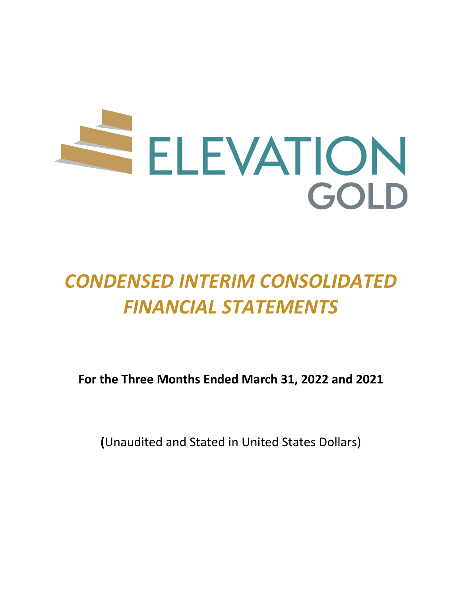

# *CONDENSED INTERIM CONSOLIDATED FINANCIAL STATEMENTS*

**For the Three Months Ended March 31, 2022 and 2021**

**(**Unaudited and Stated in United States Dollars)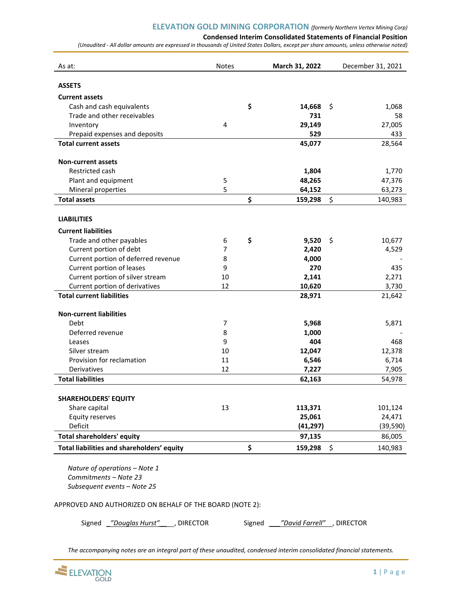**Condensed Interim Consolidated Statements of Financial Position**

*(Unaudited - All dollar amounts are expressed in thousands of United States Dollars, except per share amounts, unless otherwise noted)*

| As at:                                                   | <b>Notes</b>   | March 31, 2022 | December 31, 2021 |
|----------------------------------------------------------|----------------|----------------|-------------------|
| <b>ASSETS</b>                                            |                |                |                   |
| <b>Current assets</b>                                    |                |                |                   |
| Cash and cash equivalents                                |                | \$<br>14,668   | \$<br>1,068       |
| Trade and other receivables                              |                | 731            | 58                |
| Inventory                                                | $\overline{4}$ | 29,149         | 27,005            |
| Prepaid expenses and deposits                            |                | 529            | 433               |
| <b>Total current assets</b>                              |                | 45,077         | 28,564            |
| <b>Non-current assets</b>                                |                |                |                   |
| Restricted cash                                          |                | 1,804          | 1,770             |
| Plant and equipment                                      | 5              | 48,265         | 47,376            |
| Mineral properties                                       | 5              | 64,152         | 63,273            |
| <b>Total assets</b>                                      |                | \$<br>159,298  | \$<br>140,983     |
| <b>LIABILITIES</b>                                       |                |                |                   |
| <b>Current liabilities</b>                               |                |                |                   |
| Trade and other payables                                 | 6              | \$<br>9,520    | \$<br>10,677      |
| Current portion of debt                                  | 7              | 2,420          | 4,529             |
| Current portion of deferred revenue                      | 8              | 4,000          |                   |
| Current portion of leases                                | 9              | 270            | 435               |
| Current portion of silver stream                         | 10             | 2,141          | 2,271             |
| Current portion of derivatives                           | 12             | 10,620         | 3,730             |
| <b>Total current liabilities</b>                         |                | 28,971         | 21,642            |
| <b>Non-current liabilities</b>                           |                |                |                   |
| <b>Debt</b>                                              | $\overline{7}$ | 5,968          | 5,871             |
| Deferred revenue                                         | 8              | 1,000          |                   |
| Leases                                                   | 9              | 404            | 468               |
| Silver stream                                            | 10             | 12,047         | 12,378            |
| Provision for reclamation                                | 11             | 6,546          | 6,714             |
| Derivatives                                              | 12             | 7,227          | 7,905             |
| <b>Total liabilities</b>                                 |                | 62,163         | 54,978            |
| <b>SHAREHOLDERS' EQUITY</b>                              |                |                |                   |
| Share capital                                            | 13             | 113,371        | 101,124           |
| <b>Equity reserves</b>                                   |                | 25,061         | 24,471            |
| Deficit                                                  |                | (41, 297)      | (39, 590)         |
| <b>Total shareholders' equity</b>                        |                | 97,135         | 86,005            |
| Total liabilities and shareholders' equity               |                | \$<br>159,298  | \$<br>140,983     |
|                                                          |                |                |                   |
| Nature of operations - Note 1<br>Commitments - Note 23   |                |                |                   |
| Subsequent events - Note 25                              |                |                |                   |
|                                                          |                |                |                   |
| APPROVED AND AUTHORIZED ON BEHALF OF THE BOARD (NOTE 2): |                |                |                   |

Signed *\_"Douglas Hurst"\_\_* , DIRECTOR Signed *\_\_\_"David Farrell"* , DIRECTOR

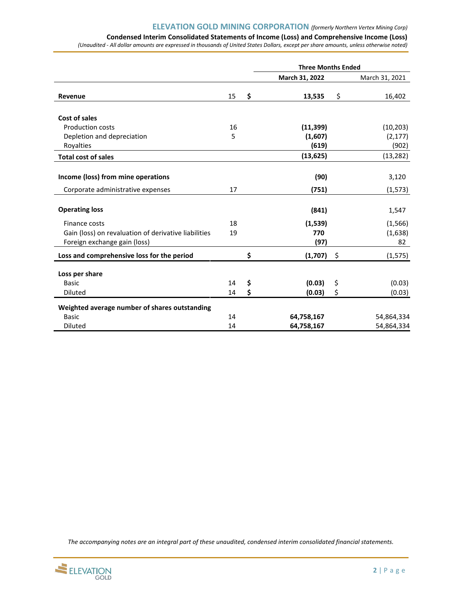# **Condensed Interim Consolidated Statements of Income (Loss) and Comprehensive Income (Loss)**

*(Unaudited - All dollar amounts are expressed in thousands of United States Dollars, except per share amounts, unless otherwise noted)*

|                                                      |    |          | <b>Three Months Ended</b> |          |                |
|------------------------------------------------------|----|----------|---------------------------|----------|----------------|
|                                                      |    |          | March 31, 2022            |          | March 31, 2021 |
| Revenue                                              | 15 | \$       | 13,535                    | \$       | 16,402         |
| Cost of sales                                        |    |          |                           |          |                |
| <b>Production costs</b>                              | 16 |          | (11, 399)                 |          | (10, 203)      |
| Depletion and depreciation                           | 5  |          | (1,607)                   |          | (2, 177)       |
| Royalties                                            |    |          | (619)                     |          | (902)          |
| <b>Total cost of sales</b>                           |    |          | (13, 625)                 |          | (13, 282)      |
|                                                      |    |          |                           |          |                |
| Income (loss) from mine operations                   |    |          | (90)                      |          | 3,120          |
| Corporate administrative expenses                    | 17 |          | (751)                     |          | (1, 573)       |
| <b>Operating loss</b>                                |    |          | (841)                     |          | 1,547          |
| Finance costs                                        | 18 |          | (1,539)                   |          | (1, 566)       |
| Gain (loss) on revaluation of derivative liabilities | 19 |          | 770                       |          | (1,638)        |
| Foreign exchange gain (loss)                         |    |          | (97)                      |          | 82             |
| Loss and comprehensive loss for the period           |    | \$       | (1,707)                   | \$       | (1, 575)       |
|                                                      |    |          |                           |          |                |
| Loss per share<br><b>Basic</b>                       | 14 |          | (0.03)                    |          | (0.03)         |
| <b>Diluted</b>                                       | 14 | \$<br>\$ | (0.03)                    | \$<br>\$ | (0.03)         |
|                                                      |    |          |                           |          |                |
| Weighted average number of shares outstanding        |    |          |                           |          |                |
| <b>Basic</b>                                         | 14 |          | 64,758,167                |          | 54,864,334     |
| Diluted                                              | 14 |          | 64,758,167                |          | 54,864,334     |

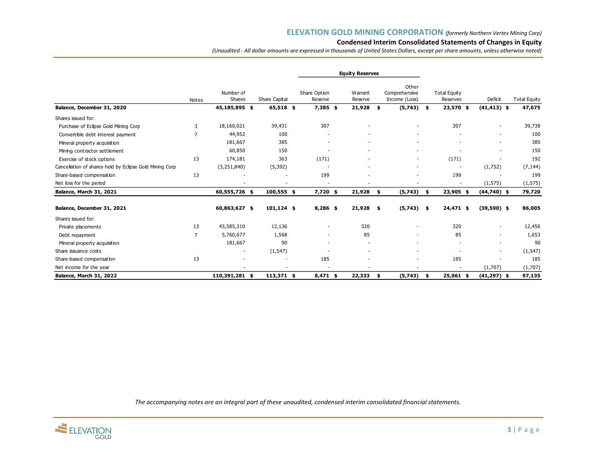## **Condensed Interim Consolidated Statements of Changes in Equity**

*(Unaudited - All dollar amounts are expressed in thousands of United States Dollars, except per share amounts, unless otherwise noted)*

|                                                         |              |                     |               |                         | <b>Equity Reserves</b> |                                         |                                 |                          |                                      |
|---------------------------------------------------------|--------------|---------------------|---------------|-------------------------|------------------------|-----------------------------------------|---------------------------------|--------------------------|--------------------------------------|
|                                                         | <b>Notes</b> | Number of<br>Shares | Share Capital | Share Option<br>Reserve | Warrant<br>Reserve     | Other<br>Comprehensive<br>Income (Loss) | <b>Total Equity</b><br>Reserves | Deficit                  | <b>Total Equity</b>                  |
| Balance, December 31, 2020                              |              | 45,185,895 \$       | 65,518 \$     | $7,385$ \$              | 21,928                 | (5,743)<br>\$                           | 23,570 \$<br>\$                 | $(41, 413)$ \$           | 47,675                               |
| Shares issued for:                                      |              |                     |               |                         |                        |                                         |                                 |                          |                                      |
| Purchase of Eclipse Gold Mining Corp                    | 3            | 18,160,021          | 39,431        | 307                     |                        |                                         | 307                             |                          | 39,738                               |
| Convertible debt interest payment                       | 7            | 44,952              | 100           |                         |                        |                                         |                                 |                          | 100<br>$\overline{\phantom{0}}$      |
| Mineral property acquisition                            |              | 181,667             | 385           |                         |                        | $\overline{\phantom{a}}$                |                                 | $\overline{\phantom{a}}$ | 385<br>$\overline{\phantom{a}}$      |
| Mining contractor settlement                            |              | 60,850              | 150           |                         |                        |                                         |                                 |                          | 150<br>$\overline{\phantom{a}}$      |
| Exercise of stock options                               | 13           | 174,181             | 363           | (171)                   |                        | $\overline{\phantom{a}}$                | (171)                           |                          | 192                                  |
| Cancellation of shares held by Eclipse Gold Mining Corp |              | (3,251,840)         | (5, 392)      |                         |                        |                                         |                                 | (1,752)                  | (7, 144)                             |
| Share-based compensation                                | 13           |                     |               | 199                     |                        |                                         | 199                             |                          | 199                                  |
| Net loss for the period                                 |              |                     |               |                         |                        |                                         |                                 | (1, 575)                 | (1, 575)                             |
| Balance, March 31, 2021                                 |              | 60,555,726 \$       | 100,555 \$    | $7,720$ \$              | 21,928                 | (5,743)<br>\$                           | 23,905 \$<br>\$                 | $(44,740)$ \$            | 79,720                               |
| Balance, December 31, 2021                              |              | 60,863,627 \$       | $101,124$ \$  | $8,286$ \$              | $21,928$ \$            | $(5,743)$ \$                            | $24,471$ \$                     | $(39,590)$ \$            | 86,005                               |
| Shares issued for:                                      |              |                     |               |                         |                        |                                         |                                 |                          |                                      |
| Private placements                                      | 13           | 43,585,310          | 12,136        |                         | 320                    |                                         | 320                             |                          | 12,456                               |
| Debt repayment                                          | 7            | 5,760,677           | 1,568         |                         | 85                     |                                         | 85                              |                          | 1,653<br>$\overline{\phantom{a}}$    |
| Mineral property acquisition                            |              | 181,667             | 90            |                         |                        |                                         |                                 |                          | 90<br>$\overline{\phantom{a}}$       |
| Share issuance costs                                    |              |                     | (1, 547)      |                         |                        |                                         |                                 | $\overline{\phantom{a}}$ | (1, 547)<br>$\overline{\phantom{a}}$ |
| Share-based compensation                                | 13           |                     |               | 185                     |                        |                                         | 185                             |                          | 185                                  |
| Net income for the year                                 |              |                     |               |                         |                        |                                         |                                 | (1,707)                  | (1,707)                              |
| Balance, March 31, 2022                                 |              | 110,391,281 \$      | $113,371$ \$  | $8,471$ \$              | 22,333                 | (5,743)<br>\$                           | $25,061$ \$<br>- \$             | $(41, 297)$ \$           | 97,135                               |

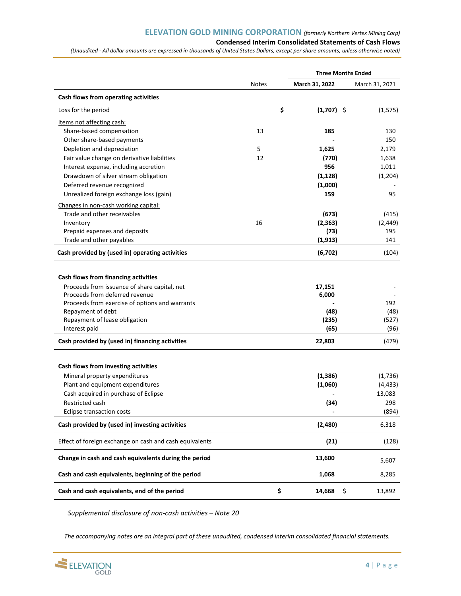## **Condensed Interim Consolidated Statements of Cash Flows**

*(Unaudited - All dollar amounts are expressed in thousands of United States Dollars, except per share amounts, unless otherwise noted)*

|                                                                                                                                                                                                                                                 |              |                                          | <b>Three Months Ended</b>            |
|-------------------------------------------------------------------------------------------------------------------------------------------------------------------------------------------------------------------------------------------------|--------------|------------------------------------------|--------------------------------------|
|                                                                                                                                                                                                                                                 | <b>Notes</b> | March 31, 2022                           | March 31, 2021                       |
| Cash flows from operating activities                                                                                                                                                                                                            |              |                                          |                                      |
| Loss for the period                                                                                                                                                                                                                             |              | \$<br>$(1,707)$ \$                       | (1, 575)                             |
| Items not affecting cash:                                                                                                                                                                                                                       |              |                                          |                                      |
| Share-based compensation                                                                                                                                                                                                                        | 13           | 185                                      | 130                                  |
| Other share-based payments                                                                                                                                                                                                                      |              |                                          | 150                                  |
| Depletion and depreciation                                                                                                                                                                                                                      | 5            | 1,625                                    | 2,179                                |
| Fair value change on derivative liabilities                                                                                                                                                                                                     | 12           | (770)                                    | 1,638                                |
| Interest expense, including accretion                                                                                                                                                                                                           |              | 956                                      | 1,011                                |
| Drawdown of silver stream obligation                                                                                                                                                                                                            |              | (1, 128)                                 | (1, 204)                             |
| Deferred revenue recognized                                                                                                                                                                                                                     |              | (1,000)                                  |                                      |
| Unrealized foreign exchange loss (gain)                                                                                                                                                                                                         |              | 159                                      | 95                                   |
| Changes in non-cash working capital:                                                                                                                                                                                                            |              |                                          |                                      |
| Trade and other receivables                                                                                                                                                                                                                     |              | (673)                                    | (415)                                |
| Inventory                                                                                                                                                                                                                                       | 16           | (2, 363)                                 | (2, 449)                             |
| Prepaid expenses and deposits                                                                                                                                                                                                                   |              | (73)                                     | 195                                  |
| Trade and other payables                                                                                                                                                                                                                        |              | (1, 913)                                 | 141                                  |
| Cash provided by (used in) operating activities                                                                                                                                                                                                 |              | (6, 702)                                 | (104)                                |
| Cash flows from financing activities<br>Proceeds from issuance of share capital, net<br>Proceeds from deferred revenue<br>Proceeds from exercise of options and warrants<br>Repayment of debt<br>Repayment of lease obligation<br>Interest paid |              | 17,151<br>6,000<br>(48)<br>(235)<br>(65) | 192<br>(48)<br>(527)<br>(96)         |
| Cash provided by (used in) financing activities                                                                                                                                                                                                 |              | 22,803                                   | (479)                                |
| Cash flows from investing activities<br>Mineral property expenditures<br>Plant and equipment expenditures<br>Cash acquired in purchase of Eclipse                                                                                               |              | (1, 386)<br>(1,060)                      | (1,736)<br>(4, 433)<br>13,083<br>298 |
| Restricted cash                                                                                                                                                                                                                                 |              | (34)                                     |                                      |
| <b>Eclipse transaction costs</b>                                                                                                                                                                                                                |              |                                          | (894)                                |
| Cash provided by (used in) investing activities                                                                                                                                                                                                 |              | (2,480)                                  | 6,318                                |
| Effect of foreign exchange on cash and cash equivalents                                                                                                                                                                                         |              | (21)                                     | (128)                                |
| Change in cash and cash equivalents during the period                                                                                                                                                                                           |              | 13,600                                   | 5,607                                |
| Cash and cash equivalents, beginning of the period                                                                                                                                                                                              |              | 1,068                                    | 8,285                                |
| Cash and cash equivalents, end of the period                                                                                                                                                                                                    |              | \$<br>14,668                             | \$<br>13,892                         |

*Supplemental disclosure of non-cash activities – Note 20*

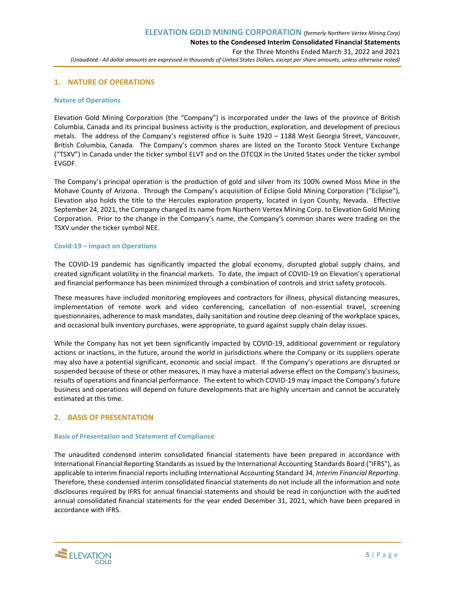## **1. NATURE OF OPERATIONS**

#### **Nature of Operations**

Elevation Gold Mining Corporation (the "Company") is incorporated under the laws of the province of British Columbia, Canada and its principal business activity is the production, exploration, and development of precious metals. The address of the Company's registered office is Suite 1920 – 1188 West Georgia Street, Vancouver, British Columbia, Canada. The Company's common shares are listed on the Toronto Stock Venture Exchange ("TSXV") in Canada under the ticker symbol ELVT and on the OTCQX in the United States under the ticker symbol EVGDF.

The Company's principal operation is the production of gold and silver from its 100% owned Moss Mine in the Mohave County of Arizona. Through the Company's acquisition of Eclipse Gold Mining Corporation ("Eclipse"), Elevation also holds the title to the Hercules exploration property, located in Lyon County, Nevada. Effective September 24, 2021, the Company changed its name from Northern Vertex Mining Corp. to Elevation Gold Mining Corporation. Prior to the change in the Company's name, the Company's common shares were trading on the TSXV under the ticker symbol NEE.

## **Covid-19 – Impact on Operations**

The COVID-19 pandemic has significantly impacted the global economy, disrupted global supply chains, and created significant volatility in the financial markets. To date, the impact of COVID-19 on Elevation's operational and financial performance has been minimized through a combination of controls and strict safety protocols.

These measures have included monitoring employees and contractors for illness, physical distancing measures, implementation of remote work and video conferencing, cancellation of non-essential travel, screening questionnaires, adherence to mask mandates, daily sanitation and routine deep cleaning of the workplace spaces, and occasional bulk inventory purchases, were appropriate, to guard against supply chain delay issues.

While the Company has not yet been significantly impacted by COVID-19, additional government or regulatory actions or inactions, in the future, around the world in jurisdictions where the Company or its suppliers operate may also have a potential significant, economic and social impact. If the Company's operations are disrupted or suspended because of these or other measures, it may have a material adverse effect on the Company's business, results of operations and financial performance. The extent to which COVID-19 may impact the Company's future business and operations will depend on future developments that are highly uncertain and cannot be accurately estimated at this time.

## **2. BASIS OF PRESENTATION**

#### **Basis of Presentation and Statement of Compliance**

The unaudited condensed interim consolidated financial statements have been prepared in accordance with International Financial Reporting Standards as issued by the International Accounting Standards Board ("IFRS"), as applicable to interim financial reports including International Accounting Standard 34, *Interim Financial Reporting*. Therefore, these condensed interim consolidated financial statements do not include all the information and note disclosures required by IFRS for annual financial statements and should be read in conjunction with the audited annual consolidated financial statements for the year ended December 31, 2021, which have been prepared in accordance with IFRS.

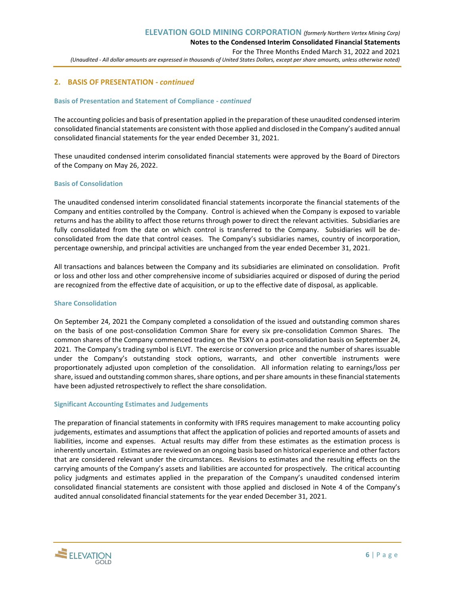## **2. BASIS OF PRESENTATION** *- continued*

#### **Basis of Presentation and Statement of Compliance** *- continued*

The accounting policies and basis of presentation applied in the preparation of these unaudited condensed interim consolidated financial statements are consistent with those applied and disclosed in the Company's audited annual consolidated financial statements for the year ended December 31, 2021.

These unaudited condensed interim consolidated financial statements were approved by the Board of Directors of the Company on May 26, 2022.

#### **Basis of Consolidation**

The unaudited condensed interim consolidated financial statements incorporate the financial statements of the Company and entities controlled by the Company. Control is achieved when the Company is exposed to variable returns and has the ability to affect those returns through power to direct the relevant activities. Subsidiaries are fully consolidated from the date on which control is transferred to the Company. Subsidiaries will be deconsolidated from the date that control ceases. The Company's subsidiaries names, country of incorporation, percentage ownership, and principal activities are unchanged from the year ended December 31, 2021.

All transactions and balances between the Company and its subsidiaries are eliminated on consolidation. Profit or loss and other loss and other comprehensive income of subsidiaries acquired or disposed of during the period are recognized from the effective date of acquisition, or up to the effective date of disposal, as applicable.

#### **Share Consolidation**

On September 24, 2021 the Company completed a consolidation of the issued and outstanding common shares on the basis of one post-consolidation Common Share for every six pre-consolidation Common Shares. The common shares of the Company commenced trading on the TSXV on a post-consolidation basis on September 24, 2021. The Company's trading symbol is ELVT. The exercise or conversion price and the number of shares issuable under the Company's outstanding stock options, warrants, and other convertible instruments were proportionately adjusted upon completion of the consolidation. All information relating to earnings/loss per share, issued and outstanding common shares, share options, and per share amounts in these financial statements have been adjusted retrospectively to reflect the share consolidation.

#### **Significant Accounting Estimates and Judgements**

The preparation of financial statements in conformity with IFRS requires management to make accounting policy judgements, estimates and assumptions that affect the application of policies and reported amounts of assets and liabilities, income and expenses. Actual results may differ from these estimates as the estimation process is inherently uncertain. Estimates are reviewed on an ongoing basis based on historical experience and other factors that are considered relevant under the circumstances. Revisions to estimates and the resulting effects on the carrying amounts of the Company's assets and liabilities are accounted for prospectively. The critical accounting policy judgments and estimates applied in the preparation of the Company's unaudited condensed interim consolidated financial statements are consistent with those applied and disclosed in Note 4 of the Company's audited annual consolidated financial statements for the year ended December 31, 2021.

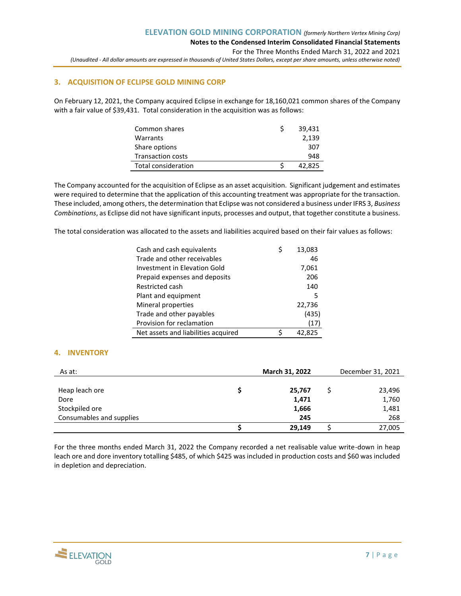## **3. ACQUISITION OF ECLIPSE GOLD MINING CORP**

On February 12, 2021, the Company acquired Eclipse in exchange for 18,160,021 common shares of the Company with a fair value of \$39,431. Total consideration in the acquisition was as follows:

| Common shares            | 39,431 |
|--------------------------|--------|
| Warrants                 | 2,139  |
| Share options            | 307    |
| <b>Transaction costs</b> | 948    |
| Total consideration      | 42.825 |

The Company accounted for the acquisition of Eclipse as an asset acquisition. Significant judgement and estimates were required to determine that the application of this accounting treatment was appropriate for the transaction. These included, among others, the determination that Eclipse was not considered a business under IFRS 3, *Business Combinations*, as Eclipse did not have significant inputs, processes and output, that together constitute a business.

The total consideration was allocated to the assets and liabilities acquired based on their fair values as follows:

| Cash and cash equivalents           |   | 13,083 |
|-------------------------------------|---|--------|
| Trade and other receivables         |   | 46     |
| Investment in Elevation Gold        |   | 7,061  |
| Prepaid expenses and deposits       |   | 206    |
| Restricted cash                     |   | 140    |
| Plant and equipment                 |   | 5      |
| Mineral properties                  |   | 22,736 |
| Trade and other payables            |   | (435)  |
| Provision for reclamation           |   | (17)   |
| Net assets and liabilities acquired | ς | 42.825 |

## **4. INVENTORY**

| As at:                   | March 31, 2022 | December 31, 2021 |
|--------------------------|----------------|-------------------|
|                          |                |                   |
| Heap leach ore           | 25,767         | 23,496            |
| Dore                     | 1,471          | 1,760             |
| Stockpiled ore           | 1,666          | 1,481             |
| Consumables and supplies | 245            | 268               |
|                          | 29,149         | 27,005            |

For the three months ended March 31, 2022 the Company recorded a net realisable value write-down in heap leach ore and dore inventory totalling \$485, of which \$425 was included in production costs and \$60 was included in depletion and depreciation.

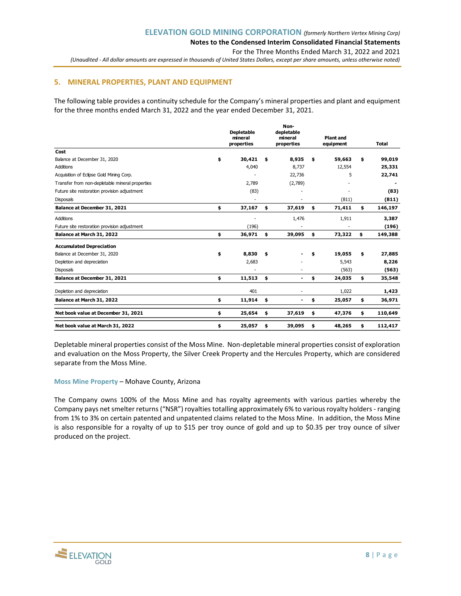**Notes to the Condensed Interim Consolidated Financial Statements**

For the Three Months Ended March 31, 2022 and 2021

*(Unaudited - All dollar amounts are expressed in thousands of United States Dollars, except per share amounts, unless otherwise noted)*

## **5. MINERAL PROPERTIES, PLANT AND EQUIPMENT**

The following table provides a continuity schedule for the Company's mineral properties and plant and equipment for the three months ended March 31, 2022 and the year ended December 31, 2021.

|                                                 | <b>Depletable</b><br>mineral<br>properties | Non-<br>depletable<br>mineral<br>properties | <b>Plant and</b><br>equipment | <b>Total</b>  |
|-------------------------------------------------|--------------------------------------------|---------------------------------------------|-------------------------------|---------------|
| Cost                                            |                                            |                                             |                               |               |
| Balance at December 31, 2020                    | \$<br>30,421                               | \$<br>8,935                                 | \$<br>59,663                  | \$<br>99,019  |
| <b>Additions</b>                                | 4,040                                      | 8,737                                       | 12,554                        | 25,331        |
| Acquisition of Eclipse Gold Mining Corp.        |                                            | 22,736                                      | 5                             | 22,741        |
| Transfer from non-depletable mineral properties | 2,789                                      | (2,789)                                     |                               |               |
| Future site restoration provision adjustment    | (83)                                       |                                             |                               | (83)          |
| Disposals                                       |                                            |                                             | (811)                         | (811)         |
| Balance at December 31, 2021                    | \$<br>37,167                               | \$<br>37,619                                | \$<br>71,411                  | \$<br>146,197 |
| <b>Additions</b>                                |                                            | 1,476                                       | 1,911                         | 3,387         |
| Future site restoration provision adjustment    | (196)                                      |                                             |                               | (196)         |
| Balance at March 31, 2022                       | \$<br>36,971                               | \$<br>39,095                                | \$<br>73,322                  | \$<br>149,388 |
| <b>Accumulated Depreciation</b>                 |                                            |                                             |                               |               |
| Balance at December 31, 2020                    | \$<br>8,830                                | \$                                          | \$<br>19,055                  | \$<br>27,885  |
| Depletion and depreciation                      | 2,683                                      |                                             | 5,543                         | 8,226         |
| Disposals                                       |                                            |                                             | (563)                         | (563)         |
| Balance at December 31, 2021                    | \$<br>11,513                               | \$<br>٠                                     | \$<br>24,035                  | \$<br>35,548  |
| Depletion and depreciation                      | 401                                        |                                             | 1,022                         | 1,423         |
| Balance at March 31, 2022                       | \$<br>11,914                               | \$                                          | \$<br>25,057                  | \$<br>36,971  |
| Net book value at December 31, 2021             | \$<br>25,654                               | \$<br>37,619                                | \$<br>47,376                  | \$<br>110,649 |
| Net book value at March 31, 2022                | \$<br>25,057                               | \$<br>39,095                                | \$<br>48,265                  | \$<br>112,417 |

Depletable mineral properties consist of the Moss Mine. Non-depletable mineral properties consist of exploration and evaluation on the Moss Property, the Silver Creek Property and the Hercules Property, which are considered separate from the Moss Mine.

#### **Moss Mine Property** – Mohave County, Arizona

The Company owns 100% of the Moss Mine and has royalty agreements with various parties whereby the Company pays net smelter returns ("NSR") royalties totalling approximately 6% to various royalty holders - ranging from 1% to 3% on certain patented and unpatented claims related to the Moss Mine. In addition, the Moss Mine is also responsible for a royalty of up to \$15 per troy ounce of gold and up to \$0.35 per troy ounce of silver produced on the project.

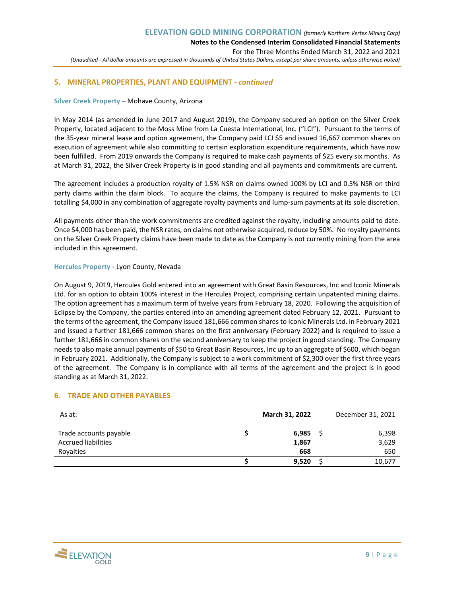## **5. MINERAL PROPERTIES, PLANT AND EQUIPMENT** *- continued*

#### **Silver Creek Property** – Mohave County, Arizona

In May 2014 (as amended in June 2017 and August 2019), the Company secured an option on the Silver Creek Property, located adjacent to the Moss Mine from La Cuesta International, Inc. ("LCI"). Pursuant to the terms of the 35-year mineral lease and option agreement, the Company paid LCI \$5 and issued 16,667 common shares on execution of agreement while also committing to certain exploration expenditure requirements, which have now been fulfilled. From 2019 onwards the Company is required to make cash payments of \$25 every six months. As at March 31, 2022, the Silver Creek Property is in good standing and all payments and commitments are current.

The agreement includes a production royalty of 1.5% NSR on claims owned 100% by LCI and 0.5% NSR on third party claims within the claim block. To acquire the claims, the Company is required to make payments to LCI totalling \$4,000 in any combination of aggregate royalty payments and lump-sum payments at its sole discretion.

All payments other than the work commitments are credited against the royalty, including amounts paid to date. Once \$4,000 has been paid, the NSR rates, on claims not otherwise acquired, reduce by 50%. No royalty payments on the Silver Creek Property claims have been made to date as the Company is not currently mining from the area included in this agreement.

#### **Hercules Property** - Lyon County, Nevada

On August 9, 2019, Hercules Gold entered into an agreement with Great Basin Resources, Inc and Iconic Minerals Ltd. for an option to obtain 100% interest in the Hercules Project, comprising certain unpatented mining claims. The option agreement has a maximum term of twelve years from February 18, 2020. Following the acquisition of Eclipse by the Company, the parties entered into an amending agreement dated February 12, 2021. Pursuant to the terms of the agreement, the Company issued 181,666 common shares to Iconic Minerals Ltd. in February 2021 and issued a further 181,666 common shares on the first anniversary (February 2022) and is required to issue a further 181,666 in common shares on the second anniversary to keep the project in good standing. The Company needs to also make annual payments of \$50 to Great Basin Resources, Inc up to an aggregate of \$600, which began in February 2021. Additionally, the Company is subject to a work commitment of \$2,300 over the first three years of the agreement. The Company is in compliance with all terms of the agreement and the project is in good standing as at March 31, 2022.

## **6. TRADE AND OTHER PAYABLES**

| As at:                     | March 31, 2022 | December 31, 2021 |
|----------------------------|----------------|-------------------|
|                            |                |                   |
| Trade accounts payable     | 6,985          | 6,398             |
| <b>Accrued liabilities</b> | 1,867          | 3,629             |
| Royalties                  | 668            | 650               |
|                            | 9,520          | 10,677            |

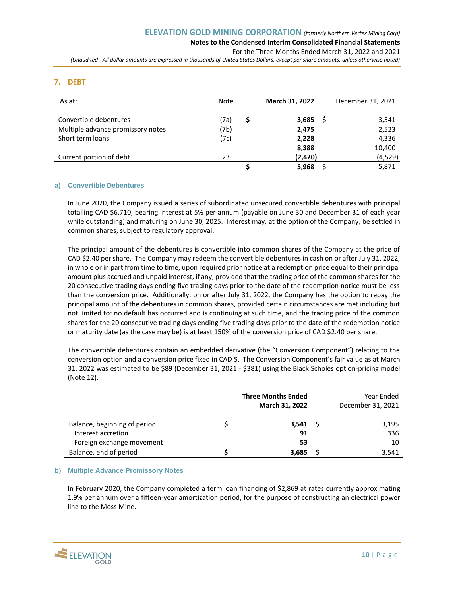#### **Notes to the Condensed Interim Consolidated Financial Statements** For the Three Months Ended March 31, 2022 and 2021

*(Unaudited - All dollar amounts are expressed in thousands of United States Dollars, except per share amounts, unless otherwise noted)*

## **7. DEBT**

| As at:                            | Note |   | <b>March 31, 2022</b> | December 31, 2021 |
|-----------------------------------|------|---|-----------------------|-------------------|
|                                   |      |   |                       |                   |
| Convertible debentures            | (7a) | S | $3,685$ \$            | 3,541             |
| Multiple advance promissory notes | (7b) |   | 2,475                 | 2,523             |
| Short term loans                  | (7c) |   | 2,228                 | 4,336             |
|                                   |      |   | 8,388                 | 10,400            |
| Current portion of debt           | 23   |   | (2,420)               | (4, 529)          |
|                                   |      |   | 5,968                 | 5,871             |

#### **a) Convertible Debentures**

In June 2020, the Company issued a series of subordinated unsecured convertible debentures with principal totalling CAD \$6,710, bearing interest at 5% per annum (payable on June 30 and December 31 of each year while outstanding) and maturing on June 30, 2025. Interest may, at the option of the Company, be settled in common shares, subject to regulatory approval.

The principal amount of the debentures is convertible into common shares of the Company at the price of CAD \$2.40 per share. The Company may redeem the convertible debentures in cash on or after July 31, 2022, in whole or in part from time to time, upon required prior notice at a redemption price equal to their principal amount plus accrued and unpaid interest, if any, provided that the trading price of the common shares for the 20 consecutive trading days ending five trading days prior to the date of the redemption notice must be less than the conversion price. Additionally, on or after July 31, 2022, the Company has the option to repay the principal amount of the debentures in common shares, provided certain circumstances are met including but not limited to: no default has occurred and is continuing at such time, and the trading price of the common shares for the 20 consecutive trading days ending five trading days prior to the date of the redemption notice or maturity date (as the case may be) is at least 150% of the conversion price of CAD \$2.40 per share.

The convertible debentures contain an embedded derivative (the "Conversion Component") relating to the conversion option and a conversion price fixed in CAD \$. The Conversion Component's fair value as at March 31, 2022 was estimated to be \$89 (December 31, 2021 - \$381) using the Black Scholes option-pricing model (Note 12).

|                                                                                 | <b>Three Months Ended</b><br>March 31, 2022 | Year Ended<br>December 31, 2021 |
|---------------------------------------------------------------------------------|---------------------------------------------|---------------------------------|
| Balance, beginning of period<br>Interest accretion<br>Foreign exchange movement | $3,541$ \$<br>91<br>53                      | 3,195<br>336<br>10              |
| Balance, end of period                                                          | 3,685                                       | 3,541                           |

#### **b) Multiple Advance Promissory Notes**

In February 2020, the Company completed a term loan financing of \$2,869 at rates currently approximating 1.9% per annum over a fifteen-year amortization period, for the purpose of constructing an electrical power line to the Moss Mine.

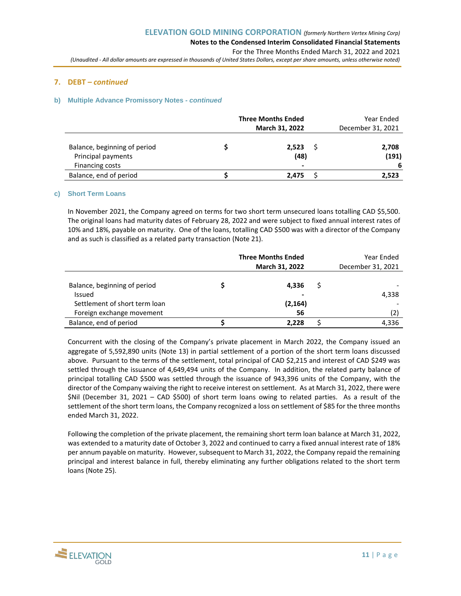## **7. DEBT** *– continued*

#### **b) Multiple Advance Promissory Notes** *- continued*

|                                                                       | <b>Three Months Ended</b>       | Year Ended           |
|-----------------------------------------------------------------------|---------------------------------|----------------------|
|                                                                       | March 31, 2022                  | December 31, 2021    |
| Balance, beginning of period<br>Principal payments<br>Financing costs | 2.523<br>(48)<br>$\blacksquare$ | 2,708<br>(191)<br>-6 |
| Balance, end of period                                                | 2.475                           | 2,523                |

#### **c) Short Term Loans**

In November 2021, the Company agreed on terms for two short term unsecured loans totalling CAD \$5,500. The original loans had maturity dates of February 28, 2022 and were subject to fixed annual interest rates of 10% and 18%, payable on maturity. One of the loans, totalling CAD \$500 was with a director of the Company and as such is classified as a related party transaction (Note 21).

|                                                                                                      | <b>Three Months Ended</b><br>March 31, 2022 |   | Year Ended<br>December 31, 2021 |
|------------------------------------------------------------------------------------------------------|---------------------------------------------|---|---------------------------------|
| Balance, beginning of period<br>Issued<br>Settlement of short term loan<br>Foreign exchange movement | 4.336<br>(2, 164)<br>56                     | S | 4,338<br>(2)                    |
| Balance, end of period                                                                               | 2.228                                       |   | 4,336                           |

Concurrent with the closing of the Company's private placement in March 2022, the Company issued an aggregate of 5,592,890 units (Note 13) in partial settlement of a portion of the short term loans discussed above. Pursuant to the terms of the settlement, total principal of CAD \$2,215 and interest of CAD \$249 was settled through the issuance of 4,649,494 units of the Company. In addition, the related party balance of principal totalling CAD \$500 was settled through the issuance of 943,396 units of the Company, with the director of the Company waiving the right to receive interest on settlement. As at March 31, 2022, there were \$Nil (December 31, 2021 – CAD \$500) of short term loans owing to related parties. As a result of the settlement of the short term loans, the Company recognized a loss on settlement of \$85 for the three months ended March 31, 2022.

Following the completion of the private placement, the remaining short term loan balance at March 31, 2022, was extended to a maturity date of October 3, 2022 and continued to carry a fixed annual interest rate of 18% per annum payable on maturity. However, subsequent to March 31, 2022, the Company repaid the remaining principal and interest balance in full, thereby eliminating any further obligations related to the short term loans (Note 25).

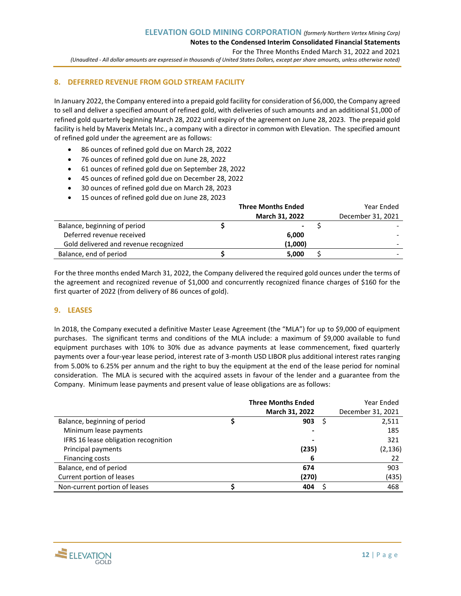**Notes to the Condensed Interim Consolidated Financial Statements**

For the Three Months Ended March 31, 2022 and 2021

*(Unaudited - All dollar amounts are expressed in thousands of United States Dollars, except per share amounts, unless otherwise noted)*

## **8. DEFERRED REVENUE FROM GOLD STREAM FACILITY**

In January 2022, the Company entered into a prepaid gold facility for consideration of \$6,000, the Company agreed to sell and deliver a specified amount of refined gold, with deliveries of such amounts and an additional \$1,000 of refined gold quarterly beginning March 28, 2022 until expiry of the agreement on June 28, 2023. The prepaid gold facility is held by Maverix Metals Inc., a company with a director in common with Elevation. The specified amount of refined gold under the agreement are as follows:

- 86 ounces of refined gold due on March 28, 2022
- 76 ounces of refined gold due on June 28, 2022
- 61 ounces of refined gold due on September 28, 2022
- 45 ounces of refined gold due on December 28, 2022
- 30 ounces of refined gold due on March 28, 2023
- 15 ounces of refined gold due on June 28, 2023

|                                       | <b>Three Months Ended</b> | Year Ended        |
|---------------------------------------|---------------------------|-------------------|
|                                       | March 31, 2022            | December 31, 2021 |
| Balance, beginning of period          |                           |                   |
| Deferred revenue received             | 6,000                     |                   |
| Gold delivered and revenue recognized | (1,000)                   |                   |
| Balance, end of period                | 5.000                     |                   |

For the three months ended March 31, 2022, the Company delivered the required gold ounces under the terms of the agreement and recognized revenue of \$1,000 and concurrently recognized finance charges of \$160 for the first quarter of 2022 (from delivery of 86 ounces of gold).

#### **9. LEASES**

In 2018, the Company executed a definitive Master Lease Agreement (the "MLA") for up to \$9,000 of equipment purchases. The significant terms and conditions of the MLA include: a maximum of \$9,000 available to fund equipment purchases with 10% to 30% due as advance payments at lease commencement, fixed quarterly payments over a four-year lease period, interest rate of 3-month USD LIBOR plus additional interest rates ranging from 5.00% to 6.25% per annum and the right to buy the equipment at the end of the lease period for nominal consideration. The MLA is secured with the acquired assets in favour of the lender and a guarantee from the Company. Minimum lease payments and present value of lease obligations are as follows:

|                                      | <b>Three Months Ended</b> |   | Year Ended        |
|--------------------------------------|---------------------------|---|-------------------|
|                                      | March 31, 2022            |   | December 31, 2021 |
| Balance, beginning of period         | 903                       | S | 2,511             |
| Minimum lease payments               |                           |   | 185               |
| IFRS 16 lease obligation recognition |                           |   | 321               |
| Principal payments                   | (235)                     |   | (2, 136)          |
| Financing costs                      | 6                         |   | 22                |
| Balance, end of period               | 674                       |   | 903               |
| Current portion of leases            | (270)                     |   | (435)             |
| Non-current portion of leases        | 404                       |   | 468               |

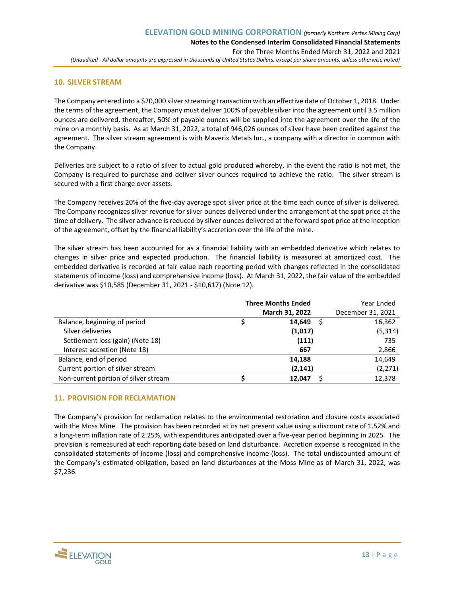## **10. SILVER STREAM**

The Company entered into a \$20,000 silver streaming transaction with an effective date of October 1, 2018. Under the terms of the agreement, the Company must deliver 100% of payable silver into the agreement until 3.5 million ounces are delivered, thereafter, 50% of payable ounces will be supplied into the agreement over the life of the mine on a monthly basis. As at March 31, 2022, a total of 946,026 ounces of silver have been credited against the agreement. The silver stream agreement is with Maverix Metals Inc., a company with a director in common with the Company.

Deliveries are subject to a ratio of silver to actual gold produced whereby, in the event the ratio is not met, the Company is required to purchase and deliver silver ounces required to achieve the ratio. The silver stream is secured with a first charge over assets.

The Company receives 20% of the five-day average spot silver price at the time each ounce of silver is delivered. The Company recognizes silver revenue for silver ounces delivered under the arrangement at the spot price at the time of delivery. The silver advance is reduced by silver ounces delivered at the forward spot price at the inception of the agreement, offset by the financial liability's accretion over the life of the mine.

The silver stream has been accounted for as a financial liability with an embedded derivative which relates to changes in silver price and expected production. The financial liability is measured at amortized cost. The embedded derivative is recorded at fair value each reporting period with changes reflected in the consolidated statements of income (loss) and comprehensive income (loss). At March 31, 2022, the fair value of the embedded derivative was \$10,585 (December 31, 2021 - \$10,617) (Note 12).

|                                      | <b>Three Months Ended</b> | Year Ended        |
|--------------------------------------|---------------------------|-------------------|
|                                      | March 31, 2022            | December 31, 2021 |
| Balance, beginning of period         | 14.649                    | 16,362            |
| Silver deliveries                    | (1,017)                   | (5, 314)          |
| Settlement loss (gain) (Note 18)     | (111)                     | 735               |
| Interest accretion (Note 18)         | 667                       | 2,866             |
| Balance, end of period               | 14,188                    | 14,649            |
| Current portion of silver stream     | (2, 141)                  | (2, 271)          |
| Non-current portion of silver stream | 12.047                    | 12,378            |

## **11. PROVISION FOR RECLAMATION**

The Company's provision for reclamation relates to the environmental restoration and closure costs associated with the Moss Mine. The provision has been recorded at its net present value using a discount rate of 1.52% and a long-term inflation rate of 2.25%, with expenditures anticipated over a five-year period beginning in 2025. The provision is remeasured at each reporting date based on land disturbance. Accretion expense is recognized in the consolidated statements of income (loss) and comprehensive income (loss). The total undiscounted amount of the Company's estimated obligation, based on land disturbances at the Moss Mine as of March 31, 2022, was \$7,236.

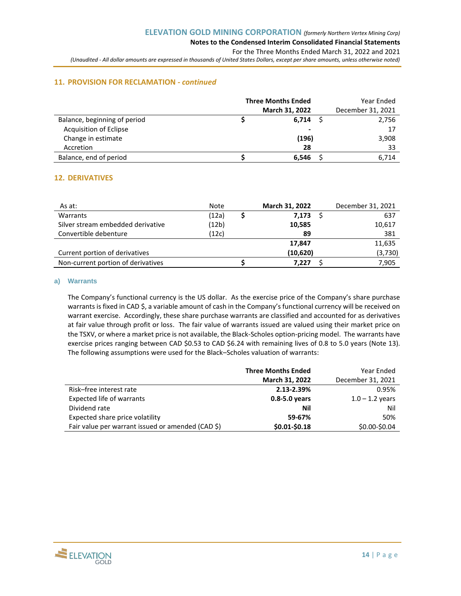## **11. PROVISION FOR RECLAMATION** *- continued*

|                               | <b>Three Months Ended</b><br>March 31, 2022 | Year Ended<br>December 31, 2021 |
|-------------------------------|---------------------------------------------|---------------------------------|
| Balance, beginning of period  | 6,714                                       | 2,756                           |
| <b>Acquisition of Eclipse</b> | $\,$                                        | 17                              |
| Change in estimate            | (196)                                       | 3,908                           |
| Accretion                     | 28                                          | 33                              |
| Balance, end of period        | 6.546                                       | 6.714                           |

## **12. DERIVATIVES**

| As at:                             | Note  | March 31, 2022 | December 31, 2021 |
|------------------------------------|-------|----------------|-------------------|
| Warrants                           | (12a) | 7,173          | 637               |
| Silver stream embedded derivative  | (12b) | 10,585         | 10,617            |
| Convertible debenture              | (12c) | 89             | 381               |
|                                    |       | 17.847         | 11,635            |
| Current portion of derivatives     |       | (10,620)       | (3,730)           |
| Non-current portion of derivatives |       | 7.227          | 7,905             |

## **a) Warrants**

The Company's functional currency is the US dollar. As the exercise price of the Company's share purchase warrants is fixed in CAD \$, a variable amount of cash in the Company's functional currency will be received on warrant exercise. Accordingly, these share purchase warrants are classified and accounted for as derivatives at fair value through profit or loss. The fair value of warrants issued are valued using their market price on the TSXV, or where a market price is not available, the Black-Scholes option-pricing model. The warrants have exercise prices ranging between CAD \$0.53 to CAD \$6.24 with remaining lives of 0.8 to 5.0 years (Note 13). The following assumptions were used for the Black–Scholes valuation of warrants:

|                                                   | <b>Three Months Ended</b> | Year Ended        |
|---------------------------------------------------|---------------------------|-------------------|
|                                                   | March 31, 2022            | December 31, 2021 |
| Risk-free interest rate                           | 2.13-2.39%                | 0.95%             |
| Expected life of warrants                         | $0.8 - 5.0$ years         | $1.0 - 1.2$ years |
| Dividend rate                                     | Nil                       | Nil               |
| Expected share price volatility                   | 59-67%                    | 50%               |
| Fair value per warrant issued or amended (CAD \$) | \$0.01-\$0.18             | \$0.00-\$0.04     |

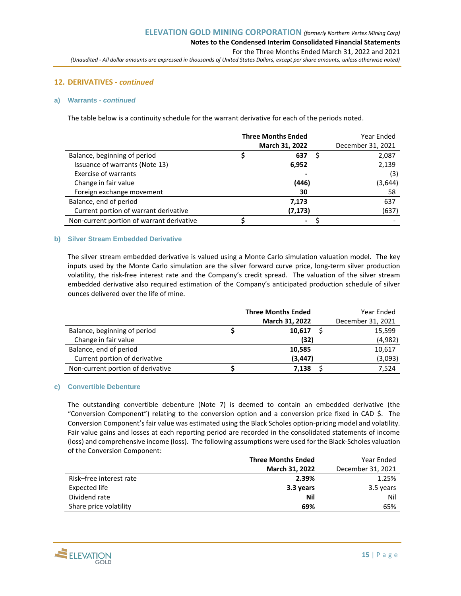#### **12. DERIVATIVES** *- continued*

#### **a) Warrants** *- continued*

The table below is a continuity schedule for the warrant derivative for each of the periods noted.

|                                           | <b>Three Months Ended</b><br>March 31, 2022 | Year Ended<br>December 31, 2021 |
|-------------------------------------------|---------------------------------------------|---------------------------------|
| Balance, beginning of period              | 637                                         | 2,087                           |
| Issuance of warrants (Note 13)            | 6,952                                       | 2,139                           |
| <b>Exercise of warrants</b>               |                                             | (3)                             |
| Change in fair value                      | (446)                                       | (3,644)                         |
| Foreign exchange movement                 | 30                                          | 58                              |
| Balance, end of period                    | 7,173                                       | 637                             |
| Current portion of warrant derivative     | (7, 173)                                    | (637)                           |
| Non-current portion of warrant derivative | $\sim$                                      |                                 |

#### **b) Silver Stream Embedded Derivative**

The silver stream embedded derivative is valued using a Monte Carlo simulation valuation model. The key inputs used by the Monte Carlo simulation are the silver forward curve price, long-term silver production volatility, the risk-free interest rate and the Company's credit spread. The valuation of the silver stream embedded derivative also required estimation of the Company's anticipated production schedule of silver ounces delivered over the life of mine.

|                                   | <b>Three Months Ended</b> | Year Ended        |
|-----------------------------------|---------------------------|-------------------|
|                                   | March 31, 2022            | December 31, 2021 |
| Balance, beginning of period      | 10,617                    | 15.599            |
| Change in fair value              | (32)                      | (4,982)           |
| Balance, end of period            | 10,585                    | 10,617            |
| Current portion of derivative     | (3, 447)                  | (3,093)           |
| Non-current portion of derivative | 7,138                     | 7.524             |

#### **c) Convertible Debenture**

The outstanding convertible debenture (Note 7) is deemed to contain an embedded derivative (the "Conversion Component") relating to the conversion option and a conversion price fixed in CAD \$. The Conversion Component's fair value was estimated using the Black Scholes option-pricing model and volatility. Fair value gains and losses at each reporting period are recorded in the consolidated statements of income (loss) and comprehensive income (loss). The following assumptions were used for the Black-Scholes valuation of the Conversion Component:

|                         | <b>Three Months Ended</b> | Year Ended        |
|-------------------------|---------------------------|-------------------|
|                         | <b>March 31, 2022</b>     | December 31, 2021 |
| Risk-free interest rate | 2.39%                     | 1.25%             |
| Expected life           | 3.3 years                 | 3.5 years         |
| Dividend rate           | Nil                       | Nil               |
| Share price volatility  | 69%                       | 65%               |

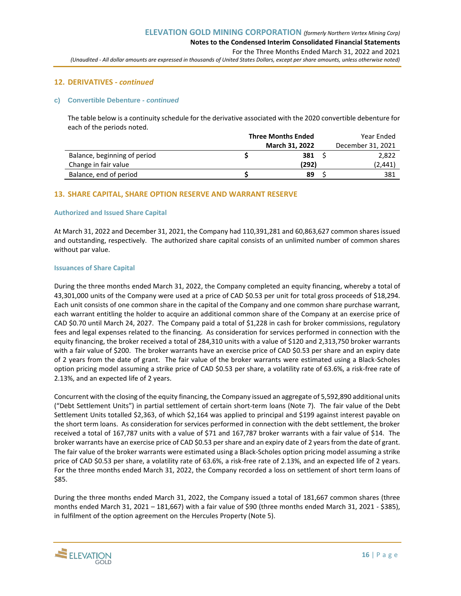## **12. DERIVATIVES** *- continued*

#### **c) Convertible Debenture** *- continued*

The table below is a continuity schedule for the derivative associated with the 2020 convertible debenture for each of the periods noted.

|                              | <b>Three Months Ended</b> | Year Ended        |
|------------------------------|---------------------------|-------------------|
|                              | <b>March 31, 2022</b>     | December 31, 2021 |
| Balance, beginning of period | 381                       | 2,822             |
| Change in fair value         | (292)                     | (2,441)           |
| Balance, end of period       | 89                        | 381               |

## **13. SHARE CAPITAL, SHARE OPTION RESERVE AND WARRANT RESERVE**

#### **Authorized and Issued Share Capital**

At March 31, 2022 and December 31, 2021, the Company had 110,391,281 and 60,863,627 common shares issued and outstanding, respectively. The authorized share capital consists of an unlimited number of common shares without par value.

#### **Issuances of Share Capital**

During the three months ended March 31, 2022, the Company completed an equity financing, whereby a total of 43,301,000 units of the Company were used at a price of CAD \$0.53 per unit for total gross proceeds of \$18,294. Each unit consists of one common share in the capital of the Company and one common share purchase warrant, each warrant entitling the holder to acquire an additional common share of the Company at an exercise price of CAD \$0.70 until March 24, 2027. The Company paid a total of \$1,228 in cash for broker commissions, regulatory fees and legal expenses related to the financing. As consideration for services performed in connection with the equity financing, the broker received a total of 284,310 units with a value of \$120 and 2,313,750 broker warrants with a fair value of \$200. The broker warrants have an exercise price of CAD \$0.53 per share and an expiry date of 2 years from the date of grant. The fair value of the broker warrants were estimated using a Black-Scholes option pricing model assuming a strike price of CAD \$0.53 per share, a volatility rate of 63.6%, a risk-free rate of 2.13%, and an expected life of 2 years.

Concurrent with the closing of the equity financing, the Company issued an aggregate of 5,592,890 additional units ("Debt Settlement Units") in partial settlement of certain short-term loans (Note 7). The fair value of the Debt Settlement Units totalled \$2,363, of which \$2,164 was applied to principal and \$199 against interest payable on the short term loans. As consideration for services performed in connection with the debt settlement, the broker received a total of 167,787 units with a value of \$71 and 167,787 broker warrants with a fair value of \$14. The broker warrants have an exercise price of CAD \$0.53 per share and an expiry date of 2 years from the date of grant. The fair value of the broker warrants were estimated using a Black-Scholes option pricing model assuming a strike price of CAD \$0.53 per share, a volatility rate of 63.6%, a risk-free rate of 2.13%, and an expected life of 2 years. For the three months ended March 31, 2022, the Company recorded a loss on settlement of short term loans of \$85.

During the three months ended March 31, 2022, the Company issued a total of 181,667 common shares (three months ended March 31, 2021 – 181,667) with a fair value of \$90 (three months ended March 31, 2021 - \$385), in fulfilment of the option agreement on the Hercules Property (Note 5).

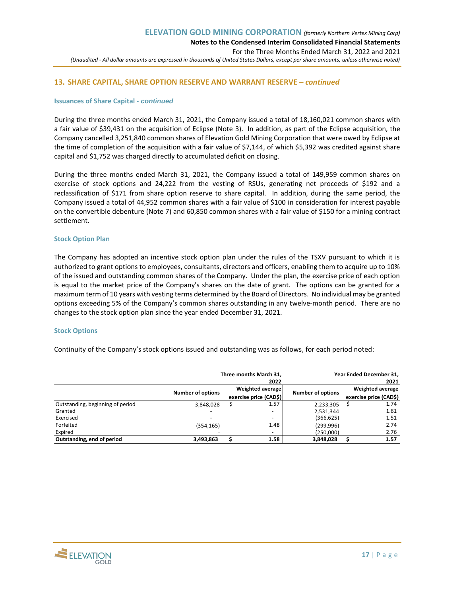## **13. SHARE CAPITAL, SHARE OPTION RESERVE AND WARRANT RESERVE** *– continued*

#### **Issuances of Share Capital** *- continued*

During the three months ended March 31, 2021, the Company issued a total of 18,160,021 common shares with a fair value of \$39,431 on the acquisition of Eclipse (Note 3). In addition, as part of the Eclipse acquisition, the Company cancelled 3,251,840 common shares of Elevation Gold Mining Corporation that were owed by Eclipse at the time of completion of the acquisition with a fair value of \$7,144, of which \$5,392 was credited against share capital and \$1,752 was charged directly to accumulated deficit on closing.

During the three months ended March 31, 2021, the Company issued a total of 149,959 common shares on exercise of stock options and 24,222 from the vesting of RSUs, generating net proceeds of \$192 and a reclassification of \$171 from share option reserve to share capital. In addition, during the same period, the Company issued a total of 44,952 common shares with a fair value of \$100 in consideration for interest payable on the convertible debenture (Note 7) and 60,850 common shares with a fair value of \$150 for a mining contract settlement.

#### **Stock Option Plan**

The Company has adopted an incentive stock option plan under the rules of the TSXV pursuant to which it is authorized to grant options to employees, consultants, directors and officers, enabling them to acquire up to 10% of the issued and outstanding common shares of the Company. Under the plan, the exercise price of each option is equal to the market price of the Company's shares on the date of grant. The options can be granted for a maximum term of 10 years with vesting terms determined by the Board of Directors. No individual may be granted options exceeding 5% of the Company's common shares outstanding in any twelve-month period. There are no changes to the stock option plan since the year ended December 31, 2021.

#### **Stock Options**

Continuity of the Company's stock options issued and outstanding was as follows, for each period noted:

|                                  |                          | Three months March 31.<br>Year Ended December 31.<br>2022 |                          |                          |  |                        |
|----------------------------------|--------------------------|-----------------------------------------------------------|--------------------------|--------------------------|--|------------------------|
|                                  | <b>Number of options</b> | Weighted average<br>exercise price (CAD\$)                |                          | <b>Number of options</b> |  | Weighted average       |
|                                  |                          |                                                           |                          |                          |  | exercise price (CAD\$) |
| Outstanding, beginning of period | 3,848,028                |                                                           | 1.57                     | 2,233,305                |  | 1.74                   |
| Granted                          |                          |                                                           |                          | 2,531,344                |  | 1.61                   |
| Exercised                        |                          |                                                           | $\overline{\phantom{a}}$ | (366, 625)               |  | 1.51                   |
| Forfeited                        | (354, 165)               |                                                           | 1.48                     | (299, 996)               |  | 2.74                   |
| Expired                          |                          |                                                           |                          | (250.000)                |  | 2.76                   |
| Outstanding, end of period       | 3,493,863                |                                                           | 1.58                     | 3,848,028                |  | 1.57                   |

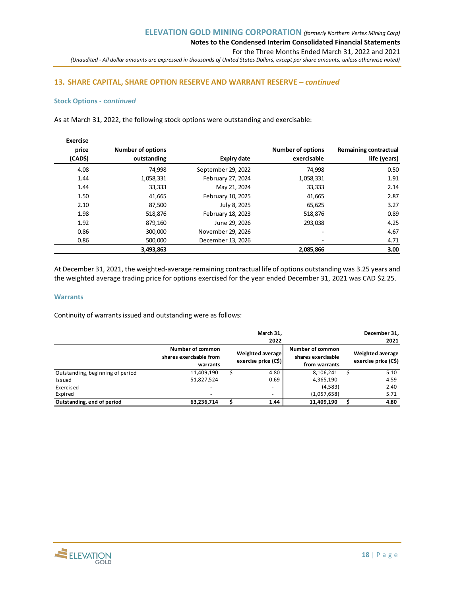## **13. SHARE CAPITAL, SHARE OPTION RESERVE AND WARRANT RESERVE** *– continued*

#### **Stock Options** *- continued*

As at March 31, 2022, the following stock options were outstanding and exercisable:

|                       |                          |                    |                          | <b>Exercise</b> |
|-----------------------|--------------------------|--------------------|--------------------------|-----------------|
| Remaining contractual | <b>Number of options</b> |                    | <b>Number of options</b> | price           |
| life (years)          | exercisable              | <b>Expiry date</b> | outstanding              | (CAD\$)         |
| 0.50                  | 74,998                   | September 29, 2022 | 74,998                   | 4.08            |
| 1.91                  | 1,058,331                | February 27, 2024  | 1,058,331                | 1.44            |
| 2.14                  | 33,333                   | May 21, 2024       | 33,333                   | 1.44            |
| 2.87                  | 41,665                   | February 10, 2025  | 41,665                   | 1.50            |
| 3.27                  | 65,625                   | July 8, 2025       | 87,500                   | 2.10            |
| 0.89                  | 518,876                  | February 18, 2023  | 518,876                  | 1.98            |
| 4.25                  | 293.038                  | June 29, 2026      | 879,160                  | 1.92            |
| 4.67                  | ۰                        | November 29, 2026  | 300,000                  | 0.86            |
| 4.71                  | ۰.                       | December 13, 2026  | 500,000                  | 0.86            |
| 3.00                  | 2,085,866                |                    | 3,493,863                |                 |

At December 31, 2021, the weighted-average remaining contractual life of options outstanding was 3.25 years and the weighted average trading price for options exercised for the year ended December 31, 2021 was CAD \$2.25.

#### **Warrants**

Continuity of warrants issued and outstanding were as follows:

|                                  |                                                         | March 31,<br>2022                        |                                                         | December 31,<br>2021                     |
|----------------------------------|---------------------------------------------------------|------------------------------------------|---------------------------------------------------------|------------------------------------------|
|                                  | Number of common<br>shares exercisable from<br>warrants | Weighted average<br>exercise price (C\$) | Number of common<br>shares exercisable<br>from warrants | Weighted average<br>exercise price (C\$) |
| Outstanding, beginning of period | 11,409,190                                              | 4.80                                     | 8,106,241                                               | 5.10                                     |
| Issued                           | 51,827,524                                              | 0.69                                     | 4,365,190                                               | 4.59                                     |
| Exercised                        |                                                         |                                          | (4,583)                                                 | 2.40                                     |
| Expired                          |                                                         | $\overline{\phantom{a}}$                 | (1,057,658)                                             | 5.71                                     |
| Outstanding, end of period       | 63,236,714                                              | 1.44                                     | 11,409,190                                              | 4.80                                     |

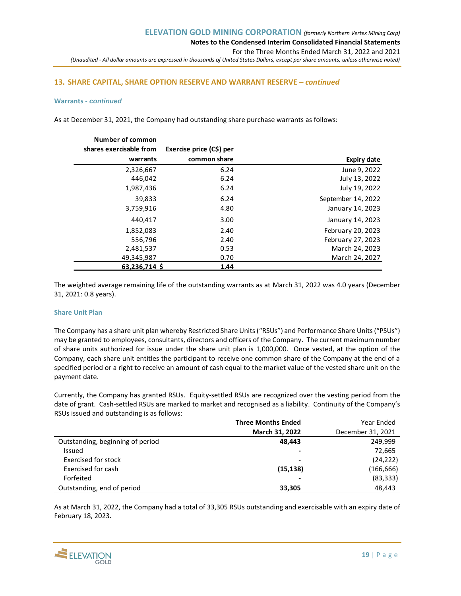## **13. SHARE CAPITAL, SHARE OPTION RESERVE AND WARRANT RESERVE** *– continued*

#### **Warrants** *- continued*

As at December 31, 2021, the Company had outstanding share purchase warrants as follows:

|                    |                          | Number of common        |
|--------------------|--------------------------|-------------------------|
|                    | Exercise price (C\$) per | shares exercisable from |
| Expiry date        | common share             | warrants                |
| June 9, 2022       | 6.24                     | 2,326,667               |
| July 13, 2022      | 6.24                     | 446,042                 |
| July 19, 2022      | 6.24                     | 1,987,436               |
| September 14, 2022 | 6.24                     | 39,833                  |
| January 14, 2023   | 4.80                     | 3,759,916               |
| January 14, 2023   | 3.00                     | 440,417                 |
| February 20, 2023  | 2.40                     | 1,852,083               |
| February 27, 2023  | 2.40                     | 556,796                 |
| March 24, 2023     | 0.53                     | 2,481,537               |
| March 24, 2027     | 0.70                     | 49,345,987              |
|                    | 1.44                     | 63,236,714 \$           |

The weighted average remaining life of the outstanding warrants as at March 31, 2022 was 4.0 years (December 31, 2021: 0.8 years).

#### **Share Unit Plan**

The Company has a share unit plan whereby Restricted Share Units ("RSUs") and Performance Share Units ("PSUs") may be granted to employees, consultants, directors and officers of the Company. The current maximum number of share units authorized for issue under the share unit plan is 1,000,000. Once vested, at the option of the Company, each share unit entitles the participant to receive one common share of the Company at the end of a specified period or a right to receive an amount of cash equal to the market value of the vested share unit on the payment date.

Currently, the Company has granted RSUs. Equity-settled RSUs are recognized over the vesting period from the date of grant. Cash-settled RSUs are marked to market and recognised as a liability. Continuity of the Company's RSUs issued and outstanding is as follows:

|                                  | <b>Three Months Ended</b> | Year Ended        |
|----------------------------------|---------------------------|-------------------|
|                                  | March 31, 2022            | December 31, 2021 |
| Outstanding, beginning of period | 48.443                    | 249.999           |
| Issued                           | -                         | 72,665            |
| Exercised for stock              | -                         | (24, 222)         |
| Exercised for cash               | (15, 138)                 | (166,666)         |
| Forfeited                        |                           | (83, 333)         |
| Outstanding, end of period       | 33.305                    | 48.443            |

As at March 31, 2022, the Company had a total of 33,305 RSUs outstanding and exercisable with an expiry date of February 18, 2023.

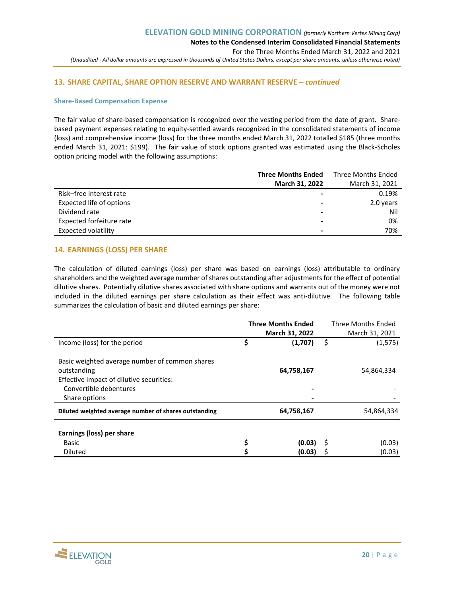## **13. SHARE CAPITAL, SHARE OPTION RESERVE AND WARRANT RESERVE** *– continued*

#### **Share-Based Compensation Expense**

The fair value of share-based compensation is recognized over the vesting period from the date of grant. Sharebased payment expenses relating to equity-settled awards recognized in the consolidated statements of income (loss) and comprehensive income (loss) for the three months ended March 31, 2022 totalled \$185 (three months ended March 31, 2021: \$199). The fair value of stock options granted was estimated using the Black-Scholes option pricing model with the following assumptions:

|                          | <b>Three Months Ended</b> | <b>Three Months Ended</b> |
|--------------------------|---------------------------|---------------------------|
|                          | March 31, 2022            | March 31, 2021            |
| Risk-free interest rate  |                           | 0.19%                     |
| Expected life of options | -                         | 2.0 years                 |
| Dividend rate            | $\overline{\phantom{0}}$  | Nil                       |
| Expected forfeiture rate |                           | 0%                        |
| Expected volatility      | -                         | 70%                       |

## **14. EARNINGS (LOSS) PER SHARE**

The calculation of diluted earnings (loss) per share was based on earnings (loss) attributable to ordinary shareholders and the weighted average number of shares outstanding after adjustments for the effect of potential dilutive shares. Potentially dilutive shares associated with share options and warrants out of the money were not included in the diluted earnings per share calculation as their effect was anti-dilutive. The following table summarizes the calculation of basic and diluted earnings per share:

|                                                                                                                                                      | <b>Three Months Ended</b> |                  |    | Three Months Ended |
|------------------------------------------------------------------------------------------------------------------------------------------------------|---------------------------|------------------|----|--------------------|
|                                                                                                                                                      |                           | March 31, 2022   |    | March 31, 2021     |
| Income (loss) for the period                                                                                                                         | Ś                         | (1,707)          | \$ | (1, 575)           |
| Basic weighted average number of common shares<br>outstanding<br>Effective impact of dilutive securities:<br>Convertible debentures<br>Share options |                           | 64,758,167       |    | 54,864,334         |
| Diluted weighted average number of shares outstanding                                                                                                |                           | 64,758,167       |    | 54,864,334         |
| Earnings (loss) per share<br>Basic<br><b>Diluted</b>                                                                                                 | \$                        | (0.03)<br>(0.03) | -S | (0.03)<br>(0.03)   |

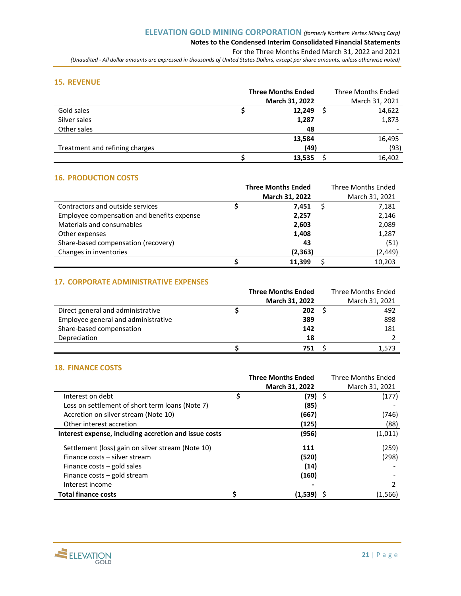# **Notes to the Condensed Interim Consolidated Financial Statements**

For the Three Months Ended March 31, 2022 and 2021

*(Unaudited - All dollar amounts are expressed in thousands of United States Dollars, except per share amounts, unless otherwise noted)*

## **15. REVENUE**

|                                | <b>Three Months Ended</b> | <b>Three Months Ended</b> |
|--------------------------------|---------------------------|---------------------------|
|                                | March 31, 2022            | March 31, 2021            |
| Gold sales                     | 12,249                    | 14,622                    |
| Silver sales                   | 1,287                     | 1,873                     |
| Other sales                    | 48                        |                           |
|                                | 13,584                    | 16,495                    |
| Treatment and refining charges | (49)                      | (93)                      |
|                                | 13,535                    | 16,402                    |

## **16. PRODUCTION COSTS**

|                                            | <b>Three Months Ended</b> | Three Months Ended |
|--------------------------------------------|---------------------------|--------------------|
|                                            | March 31, 2022            | March 31, 2021     |
| Contractors and outside services           | 7.451                     | 7,181              |
| Employee compensation and benefits expense | 2,257                     | 2,146              |
| Materials and consumables                  | 2,603                     | 2,089              |
| Other expenses                             | 1,408                     | 1,287              |
| Share-based compensation (recovery)        | 43                        | (51)               |
| Changes in inventories                     | (2, 363)                  | (2, 449)           |
|                                            | 11.399                    | 10,203             |

## **17. CORPORATE ADMINISTRATIVE EXPENSES**

|                                     | <b>Three Months Ended</b> | Three Months Ended |
|-------------------------------------|---------------------------|--------------------|
|                                     | <b>March 31, 2022</b>     | March 31, 2021     |
| Direct general and administrative   | 202                       | 492                |
| Employee general and administrative | 389                       | 898                |
| Share-based compensation            | 142                       | 181                |
| Depreciation                        | 18                        |                    |
|                                     | 751.                      | 1.573              |

## **18. FINANCE COSTS**

|                                                       | <b>Three Months Ended</b> | Three Months Ended |
|-------------------------------------------------------|---------------------------|--------------------|
|                                                       | March 31, 2022            | March 31, 2021     |
| Interest on debt                                      | \$<br>(79) \$             | (177)              |
| Loss on settlement of short term loans (Note 7)       | (85)                      |                    |
| Accretion on silver stream (Note 10)                  | (667)                     | (746)              |
| Other interest accretion                              | (125)                     | (88)               |
| Interest expense, including accretion and issue costs | (956)                     | (1,011)            |
| Settlement (loss) gain on silver stream (Note 10)     | 111                       | (259)              |
| Finance costs – silver stream                         | (520)                     | (298)              |
| Finance costs $-$ gold sales                          | (14)                      |                    |
| Finance costs – gold stream                           | (160)                     |                    |
| Interest income                                       |                           | 2                  |
| <b>Total finance costs</b>                            | (1,539)                   | (1, 566)           |

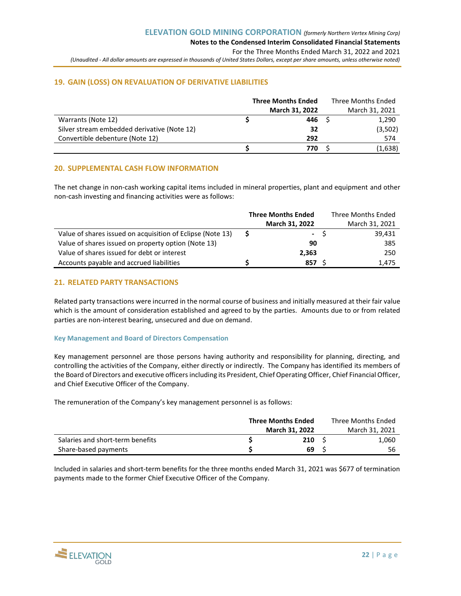## **19. GAIN (LOSS) ON REVALUATION OF DERIVATIVE LIABILITIES**

|                                             | <b>Three Months Ended</b> | Three Months Ended |
|---------------------------------------------|---------------------------|--------------------|
|                                             | March 31, 2022            | March 31, 2021     |
| Warrants (Note 12)                          | 446                       | 1,290              |
| Silver stream embedded derivative (Note 12) | 32                        | (3,502)            |
| Convertible debenture (Note 12)             | 292                       | 574                |
|                                             | 770                       | (1,638)            |

## **20. SUPPLEMENTAL CASH FLOW INFORMATION**

The net change in non-cash working capital items included in mineral properties, plant and equipment and other non-cash investing and financing activities were as follows:

|                                                            | <b>Three Months Ended</b> | Three Months Ended |
|------------------------------------------------------------|---------------------------|--------------------|
|                                                            | <b>March 31, 2022</b>     | March 31, 2021     |
| Value of shares issued on acquisition of Eclipse (Note 13) | $\overline{\phantom{0}}$  | 39,431             |
| Value of shares issued on property option (Note 13)        | 90                        | 385                |
| Value of shares issued for debt or interest                | 2.363                     | 250                |
| Accounts payable and accrued liabilities                   | 857                       | 1.475              |

## **21. RELATED PARTY TRANSACTIONS**

Related party transactions were incurred in the normal course of business and initially measured at their fair value which is the amount of consideration established and agreed to by the parties. Amounts due to or from related parties are non-interest bearing, unsecured and due on demand.

## **Key Management and Board of Directors Compensation**

Key management personnel are those persons having authority and responsibility for planning, directing, and controlling the activities of the Company, either directly or indirectly. The Company has identified its members of the Board of Directors and executive officersincluding its President, Chief Operating Officer, Chief Financial Officer, and Chief Executive Officer of the Company.

The remuneration of the Company's key management personnel is as follows:

|                                  | <b>Three Months Ended</b> |                       |  | Three Months Ended |  |  |
|----------------------------------|---------------------------|-----------------------|--|--------------------|--|--|
|                                  |                           | <b>March 31, 2022</b> |  | March 31, 2021     |  |  |
| Salaries and short-term benefits |                           | 210                   |  | 1,060              |  |  |
| Share-based payments             |                           | 69                    |  | 56                 |  |  |

Included in salaries and short-term benefits for the three months ended March 31, 2021 was \$677 of termination payments made to the former Chief Executive Officer of the Company.

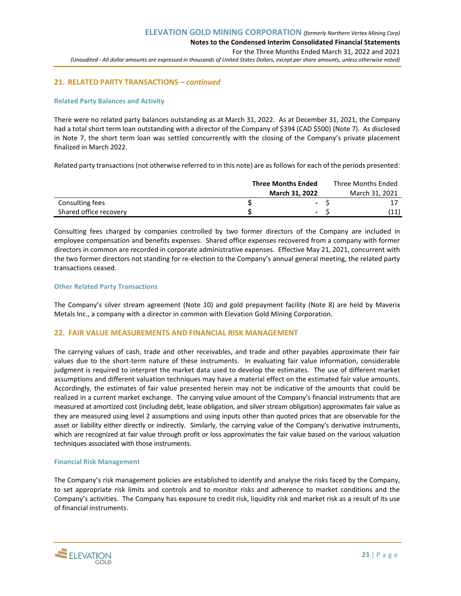## **21. RELATED PARTY TRANSACTIONS** *– continued*

## **Related Party Balances and Activity**

There were no related party balances outstanding as at March 31, 2022. As at December 31, 2021, the Company had a total short term loan outstanding with a director of the Company of \$394 (CAD \$500) (Note 7). As disclosed in Note 7, the short term loan was settled concurrently with the closing of the Company's private placement finalized in March 2022.

Related party transactions (not otherwise referred to in this note) are as follows for each of the periods presented:

|                        | <b>Three Months Ended</b> | Three Months Ended |  |  |  |
|------------------------|---------------------------|--------------------|--|--|--|
|                        | <b>March 31, 2022</b>     | March 31, 2021     |  |  |  |
| Consulting fees        | $\blacksquare$            |                    |  |  |  |
| Shared office recovery | $\sim$                    |                    |  |  |  |

Consulting fees charged by companies controlled by two former directors of the Company are included in employee compensation and benefits expenses. Shared office expenses recovered from a company with former directors in common are recorded in corporate administrative expenses. Effective May 21, 2021, concurrent with the two former directors not standing for re-election to the Company's annual general meeting, the related party transactions ceased.

#### **Other Related Party Transactions**

The Company's silver stream agreement (Note 10) and gold prepayment facility (Note 8) are held by Maverix Metals Inc., a company with a director in common with Elevation Gold Mining Corporation.

## **22. FAIR VALUE MEASUREMENTS AND FINANCIAL RISK MANAGEMENT**

The carrying values of cash, trade and other receivables, and trade and other payables approximate their fair values due to the short-term nature of these instruments. In evaluating fair value information, considerable judgment is required to interpret the market data used to develop the estimates. The use of different market assumptions and different valuation techniques may have a material effect on the estimated fair value amounts. Accordingly, the estimates of fair value presented herein may not be indicative of the amounts that could be realized in a current market exchange. The carrying value amount of the Company's financial instruments that are measured at amortized cost (including debt, lease obligation, and silver stream obligation) approximates fair value as they are measured using level 2 assumptions and using inputs other than quoted prices that are observable for the asset or liability either directly or indirectly. Similarly, the carrying value of the Company's derivative instruments, which are recognized at fair value through profit or loss approximates the fair value based on the various valuation techniques associated with those instruments.

#### **Financial Risk Management**

The Company's risk management policies are established to identify and analyse the risks faced by the Company, to set appropriate risk limits and controls and to monitor risks and adherence to market conditions and the Company's activities. The Company has exposure to credit risk, liquidity risk and market risk as a result of its use of financial instruments.

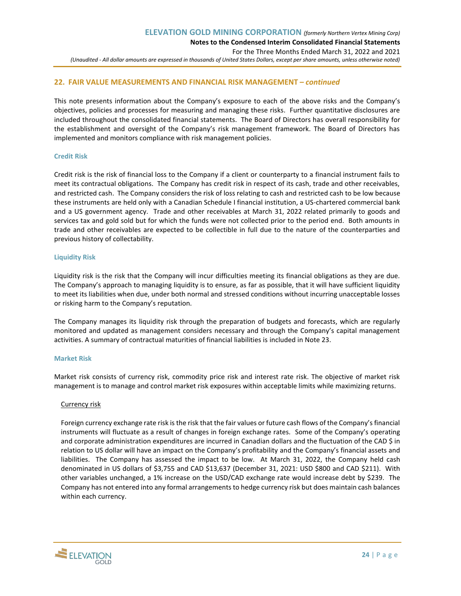## **22. FAIR VALUE MEASUREMENTS AND FINANCIAL RISK MANAGEMENT** *– continued*

This note presents information about the Company's exposure to each of the above risks and the Company's objectives, policies and processes for measuring and managing these risks. Further quantitative disclosures are included throughout the consolidated financial statements. The Board of Directors has overall responsibility for the establishment and oversight of the Company's risk management framework. The Board of Directors has implemented and monitors compliance with risk management policies.

#### **Credit Risk**

Credit risk is the risk of financial loss to the Company if a client or counterparty to a financial instrument fails to meet its contractual obligations. The Company has credit risk in respect of its cash, trade and other receivables, and restricted cash. The Company considers the risk of loss relating to cash and restricted cash to be low because these instruments are held only with a Canadian Schedule I financial institution, a US-chartered commercial bank and a US government agency. Trade and other receivables at March 31, 2022 related primarily to goods and services tax and gold sold but for which the funds were not collected prior to the period end. Both amounts in trade and other receivables are expected to be collectible in full due to the nature of the counterparties and previous history of collectability.

#### **Liquidity Risk**

Liquidity risk is the risk that the Company will incur difficulties meeting its financial obligations as they are due. The Company's approach to managing liquidity is to ensure, as far as possible, that it will have sufficient liquidity to meet its liabilities when due, under both normal and stressed conditions without incurring unacceptable losses or risking harm to the Company's reputation.

The Company manages its liquidity risk through the preparation of budgets and forecasts, which are regularly monitored and updated as management considers necessary and through the Company's capital management activities. A summary of contractual maturities of financial liabilities is included in Note 23.

#### **Market Risk**

Market risk consists of currency risk, commodity price risk and interest rate risk. The objective of market risk management is to manage and control market risk exposures within acceptable limits while maximizing returns.

#### Currency risk

Foreign currency exchange rate risk is the risk that the fair values or future cash flows of the Company's financial instruments will fluctuate as a result of changes in foreign exchange rates. Some of the Company's operating and corporate administration expenditures are incurred in Canadian dollars and the fluctuation of the CAD \$ in relation to US dollar will have an impact on the Company's profitability and the Company's financial assets and liabilities. The Company has assessed the impact to be low. At March 31, 2022, the Company held cash denominated in US dollars of \$3,755 and CAD \$13,637 (December 31, 2021: USD \$800 and CAD \$211). With other variables unchanged, a 1% increase on the USD/CAD exchange rate would increase debt by \$239. The Company has not entered into any formal arrangements to hedge currency risk but does maintain cash balances within each currency.

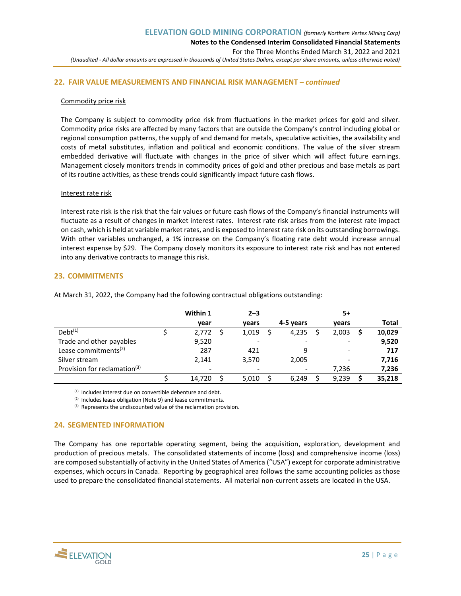## **22. FAIR VALUE MEASUREMENTS AND FINANCIAL RISK MANAGEMENT** *– continued*

#### Commodity price risk

The Company is subject to commodity price risk from fluctuations in the market prices for gold and silver. Commodity price risks are affected by many factors that are outside the Company's control including global or regional consumption patterns, the supply of and demand for metals, speculative activities, the availability and costs of metal substitutes, inflation and political and economic conditions. The value of the silver stream embedded derivative will fluctuate with changes in the price of silver which will affect future earnings. Management closely monitors trends in commodity prices of gold and other precious and base metals as part of its routine activities, as these trends could significantly impact future cash flows.

#### Interest rate risk

Interest rate risk is the risk that the fair values or future cash flows of the Company's financial instruments will fluctuate as a result of changes in market interest rates. Interest rate risk arises from the interest rate impact on cash, which is held at variable market rates, and is exposed to interest rate risk on its outstanding borrowings. With other variables unchanged, a 1% increase on the Company's floating rate debt would increase annual interest expense by \$29. The Company closely monitors its exposure to interest rate risk and has not entered into any derivative contracts to manage this risk.

## **23. COMMITMENTS**

|                                          | Within 1                 | $2 - 3$ |                          | 5+                       |        |
|------------------------------------------|--------------------------|---------|--------------------------|--------------------------|--------|
|                                          | year                     | vears   | 4-5 years                | vears                    | Total  |
| $Debt^{(1)}$                             | 2,772                    | 1,019   | 4,235                    | 2,003                    | 10,029 |
| Trade and other payables                 | 9,520                    | -       | $\overline{\phantom{0}}$ |                          | 9,520  |
| Lease commitments <sup>(2)</sup>         | 287                      | 421     | 9                        | $\overline{\phantom{0}}$ | 717    |
| Silver stream                            | 2,141                    | 3,570   | 2,005                    | $\overline{\phantom{0}}$ | 7,716  |
| Provision for reclamation <sup>(3)</sup> | $\overline{\phantom{0}}$ |         |                          | 7,236                    | 7,236  |
|                                          | 14,720                   | 5,010   | 6.249                    | 9,239                    | 35,218 |

At March 31, 2022, the Company had the following contractual obligations outstanding:

(1) Includes interest due on convertible debenture and debt.

 $(2)$  Includes lease obligation (Note 9) and lease commitments.

(3) Represents the undiscounted value of the reclamation provision.

## **24. SEGMENTED INFORMATION**

The Company has one reportable operating segment, being the acquisition, exploration, development and production of precious metals. The consolidated statements of income (loss) and comprehensive income (loss) are composed substantially of activity in the United States of America ("USA") except for corporate administrative expenses, which occurs in Canada. Reporting by geographical area follows the same accounting policies as those used to prepare the consolidated financial statements. All material non-current assets are located in the USA.